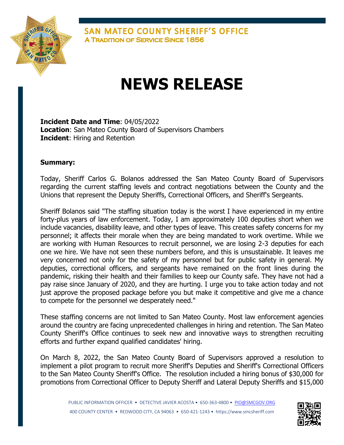

**SAN MATEO COUNTY SHERIFF'S OFFICE A TRADITION OF SERVICE SINCE 1856** 

## **NEWS RELEASE**

**Incident Date and Time**: 04/05/2022 **Location**: San Mateo County Board of Supervisors Chambers **Incident**: Hiring and Retention

## **Summary:**

Today, Sheriff Carlos G. Bolanos addressed the San Mateo County Board of Supervisors regarding the current staffing levels and contract negotiations between the County and the Unions that represent the Deputy Sheriffs, Correctional Officers, and Sheriff's Sergeants.

Sheriff Bolanos said "The staffing situation today is the worst I have experienced in my entire forty-plus years of law enforcement. Today, I am approximately 100 deputies short when we include vacancies, disability leave, and other types of leave. This creates safety concerns for my personnel; it affects their morale when they are being mandated to work overtime. While we are working with Human Resources to recruit personnel, we are losing 2-3 deputies for each one we hire. We have not seen these numbers before, and this is unsustainable. It leaves me very concerned not only for the safety of my personnel but for public safety in general. My deputies, correctional officers, and sergeants have remained on the front lines during the pandemic, risking their health and their families to keep our County safe. They have not had a pay raise since January of 2020, and they are hurting. I urge you to take action today and not just approve the proposed package before you but make it competitive and give me a chance to compete for the personnel we desperately need."

These staffing concerns are not limited to San Mateo County. Most law enforcement agencies around the country are facing unprecedented challenges in hiring and retention. The San Mateo County Sheriff's Office continues to seek new and innovative ways to strengthen recruiting efforts and further expand qualified candidates' hiring.

On March 8, 2022, the San Mateo County Board of Supervisors approved a resolution to implement a pilot program to recruit more Sheriff's Deputies and Sheriff's Correctional Officers to the San Mateo County Sheriff's Office. The resolution included a hiring bonus of \$30,000 for promotions from Correctional Officer to Deputy Sheriff and Lateral Deputy Sheriffs and \$15,000